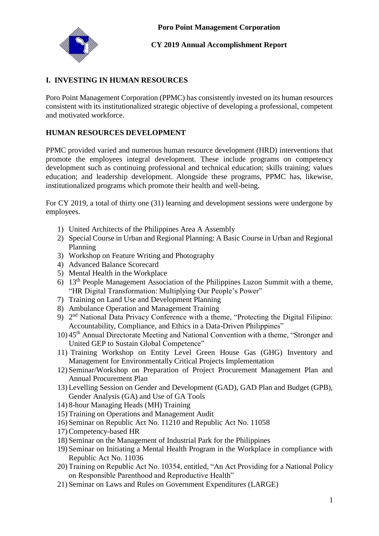

# **CY 2019 Annual Accomplishment Report**

# **I. INVESTING IN HUMAN RESOURCES**

Poro Point Management Corporation (PPMC) has consistently invested on its human resources consistent with its institutionalized strategic objective of developing a professional, competent and motivated workforce.

# **HUMAN RESOURCES DEVELOPMENT**

PPMC provided varied and numerous human resource development (HRD) interventions that promote the employees integral development. These include programs on competency development such as continuing professional and technical education; skills training; values education; and leadership development. Alongside these programs, PPMC has, likewise, institutionalized programs which promote their health and well-being.

For CY 2019, a total of thirty one (31) learning and development sessions were undergone by employees.

- 1) United Architects of the Philippines Area A Assembly
- 2) Special Course in Urban and Regional Planning: A Basic Course in Urban and Regional Planning
- 3) Workshop on Feature Writing and Photography
- 4) Advanced Balance Scorecard
- 5) Mental Health in the Workplace
- 6) 13th People Management Association of the Philippines Luzon Summit with a theme, "HR Digital Transformation: Multiplying Our People's Power"
- 7) Training on Land Use and Development Planning
- 8) Ambulance Operation and Management Training
- 9) 2<sup>nd</sup> National Data Privacy Conference with a theme, "Protecting the Digital Filipino: Accountability, Compliance, and Ethics in a Data-Driven Philippines"
- 10) 45th Annual Directorate Meeting and National Convention with a theme, "Stronger and United GEP to Sustain Global Competence"
- 11) Training Workshop on Entity Level Green House Gas (GHG) Inventory and Management for Environmentally Critical Projects Implementation
- 12) Seminar/Workshop on Preparation of Project Procurement Management Plan and Annual Procurement Plan
- 13) Levelling Session on Gender and Development (GAD), GAD Plan and Budget (GPB), Gender Analysis (GA) and Use of GA Tools
- 14) 8-hour Managing Heads (MH) Training
- 15) Training on Operations and Management Audit
- 16) Seminar on Republic Act No. 11210 and Republic Act No. 11058
- 17)Competency-based HR
- 18) Seminar on the Management of Industrial Park for the Philippines
- 19) Seminar on Initiating a Mental Health Program in the Workplace in compliance with Republic Act No. 11036
- 20) Training on Republic Act No. 10354, entitled, "An Act Providing for a National Policy on Responsible Parenthood and Reproductive Health"
- 21) Seminar on Laws and Rules on Government Expenditures (LARGE)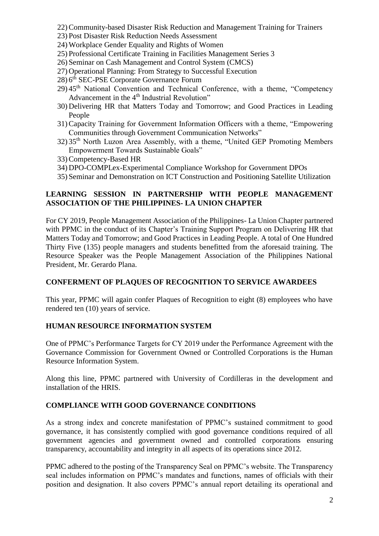- 22)Community-based Disaster Risk Reduction and Management Training for Trainers
- 23) Post Disaster Risk Reduction Needs Assessment
- 24) Workplace Gender Equality and Rights of Women
- 25) Professional Certificate Training in Facilities Management Series 3
- 26) Seminar on Cash Management and Control System (CMCS)
- 27) Operational Planning: From Strategy to Successful Execution
- 28) 6<sup>th</sup> SEC-PSE Corporate Governance Forum
- $29$ ) 45<sup>th</sup> National Convention and Technical Conference, with a theme, "Competency Advancement in the 4<sup>th</sup> Industrial Revolution"
- 30) Delivering HR that Matters Today and Tomorrow; and Good Practices in Leading People
- 31)Capacity Training for Government Information Officers with a theme, "Empowering Communities through Government Communication Networks"
- 32) 35th North Luzon Area Assembly, with a theme, "United GEP Promoting Members Empowerment Towards Sustainable Goals"
- 33)Competency-Based HR
- 34) DPO-COMPLex-Experimental Compliance Workshop for Government DPOs
- 35) Seminar and Demonstration on ICT Construction and Positioning Satellite Utilization

# **LEARNING SESSION IN PARTNERSHIP WITH PEOPLE MANAGEMENT ASSOCIATION OF THE PHILIPPINES- LA UNION CHAPTER**

For CY 2019, People Management Association of the Philippines- La Union Chapter partnered with PPMC in the conduct of its Chapter's Training Support Program on Delivering HR that Matters Today and Tomorrow; and Good Practices in Leading People. A total of One Hundred Thirty Five (135) people managers and students benefitted from the aforesaid training. The Resource Speaker was the People Management Association of the Philippines National President, Mr. Gerardo Plana.

## **CONFERMENT OF PLAQUES OF RECOGNITION TO SERVICE AWARDEES**

This year, PPMC will again confer Plaques of Recognition to eight (8) employees who have rendered ten (10) years of service.

# **HUMAN RESOURCE INFORMATION SYSTEM**

One of PPMC's Performance Targets for CY 2019 under the Performance Agreement with the Governance Commission for Government Owned or Controlled Corporations is the Human Resource Information System.

Along this line, PPMC partnered with University of Cordilleras in the development and installation of the HRIS.

## **COMPLIANCE WITH GOOD GOVERNANCE CONDITIONS**

As a strong index and concrete manifestation of PPMC's sustained commitment to good governance, it has consistently complied with good governance conditions required of all government agencies and government owned and controlled corporations ensuring transparency, accountability and integrity in all aspects of its operations since 2012.

PPMC adhered to the posting of the Transparency Seal on PPMC's website. The Transparency seal includes information on PPMC's mandates and functions, names of officials with their position and designation. It also covers PPMC's annual report detailing its operational and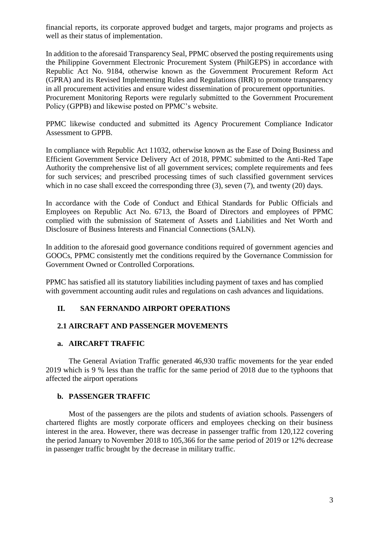financial reports, its corporate approved budget and targets, major programs and projects as well as their status of implementation.

In addition to the aforesaid Transparency Seal, PPMC observed the posting requirements using the Philippine Government Electronic Procurement System (PhilGEPS) in accordance with Republic Act No. 9184, otherwise known as the Government Procurement Reform Act (GPRA) and its Revised Implementing Rules and Regulations (IRR) to promote transparency in all procurement activities and ensure widest dissemination of procurement opportunities. Procurement Monitoring Reports were regularly submitted to the Government Procurement Policy (GPPB) and likewise posted on PPMC's website.

PPMC likewise conducted and submitted its Agency Procurement Compliance Indicator Assessment to GPPB.

In compliance with Republic Act 11032, otherwise known as the Ease of Doing Business and Efficient Government Service Delivery Act of 2018, PPMC submitted to the Anti-Red Tape Authority the comprehensive list of all government services; complete requirements and fees for such services; and prescribed processing times of such classified government services which in no case shall exceed the corresponding three (3), seven (7), and twenty (20) days.

In accordance with the Code of Conduct and Ethical Standards for Public Officials and Employees on Republic Act No. 6713, the Board of Directors and employees of PPMC complied with the submission of Statement of Assets and Liabilities and Net Worth and Disclosure of Business Interests and Financial Connections (SALN).

In addition to the aforesaid good governance conditions required of government agencies and GOOCs, PPMC consistently met the conditions required by the Governance Commission for Government Owned or Controlled Corporations.

PPMC has satisfied all its statutory liabilities including payment of taxes and has complied with government accounting audit rules and regulations on cash advances and liquidations.

# **II. SAN FERNANDO AIRPORT OPERATIONS**

## **2.1 AIRCRAFT AND PASSENGER MOVEMENTS**

#### **a. AIRCARFT TRAFFIC**

The General Aviation Traffic generated 46,930 traffic movements for the year ended 2019 which is 9 % less than the traffic for the same period of 2018 due to the typhoons that affected the airport operations

## **b. PASSENGER TRAFFIC**

Most of the passengers are the pilots and students of aviation schools. Passengers of chartered flights are mostly corporate officers and employees checking on their business interest in the area. However, there was decrease in passenger traffic from 120,122 covering the period January to November 2018 to 105,366 for the same period of 2019 or 12% decrease in passenger traffic brought by the decrease in military traffic.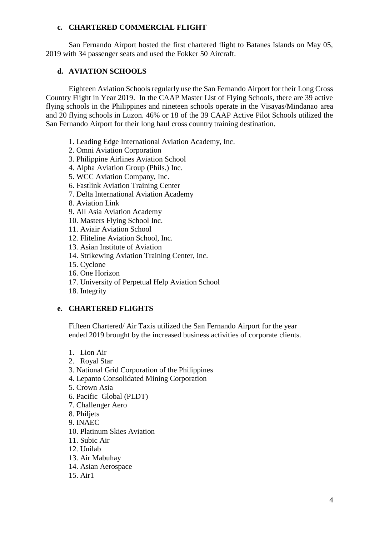#### **c. CHARTERED COMMERCIAL FLIGHT**

San Fernando Airport hosted the first chartered flight to Batanes Islands on May 05, 2019 with 34 passenger seats and used the Fokker 50 Aircraft.

## **d. AVIATION SCHOOLS**

Eighteen Aviation Schools regularly use the San Fernando Airport for their Long Cross Country Flight in Year 2019. In the CAAP Master List of Flying Schools, there are 39 active flying schools in the Philippines and nineteen schools operate in the Visayas/Mindanao area and 20 flying schools in Luzon. 46% or 18 of the 39 CAAP Active Pilot Schools utilized the San Fernando Airport for their long haul cross country training destination.

- 1. Leading Edge International Aviation Academy, Inc.
- 2. Omni Aviation Corporation
- 3. Philippine Airlines Aviation School
- 4. Alpha Aviation Group (Phils.) Inc.
- 5. WCC Aviation Company, Inc.
- 6. Fastlink Aviation Training Center
- 7. Delta International Aviation Academy
- 8. Aviation Link
- 9. All Asia Aviation Academy
- 10. Masters Flying School Inc.
- 11. Aviair Aviation School
- 12. Fliteline Aviation School, Inc.
- 13. Asian Institute of Aviation
- 14. Strikewing Aviation Training Center, Inc.
- 15. Cyclone
- 16. One Horizon
- 17. University of Perpetual Help Aviation School
- 18. Integrity

## **e. CHARTERED FLIGHTS**

Fifteen Chartered/ Air Taxis utilized the San Fernando Airport for the year ended 2019 brought by the increased business activities of corporate clients.

- 1. Lion Air
- 2. Royal Star
- 3. National Grid Corporation of the Philippines
- 4. Lepanto Consolidated Mining Corporation
- 5. Crown Asia
- 6. Pacific Global (PLDT)
- 7. Challenger Aero
- 8. Philjets
- 9. INAEC
- 10. Platinum Skies Aviation
- 11. Subic Air
- 12. Unilab
- 13. Air Mabuhay
- 14. Asian Aerospace
- 15. Air1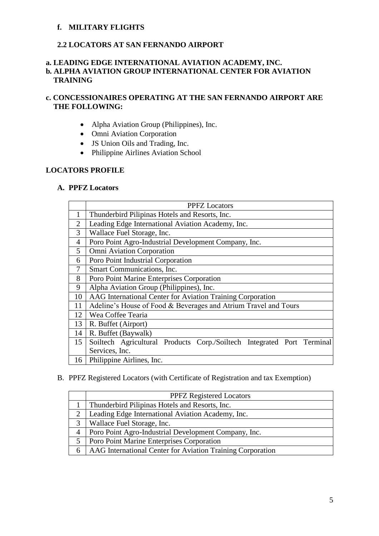#### **f. MILITARY FLIGHTS**

## **2.2 LOCATORS AT SAN FERNANDO AIRPORT**

## **a. LEADING EDGE INTERNATIONAL AVIATION ACADEMY, INC. b. ALPHA AVIATION GROUP INTERNATIONAL CENTER FOR AVIATION TRAINING**

# **c. CONCESSIONAIRES OPERATING AT THE SAN FERNANDO AIRPORT ARE THE FOLLOWING:**

- Alpha Aviation Group (Philippines), Inc.
- Omni Aviation Corporation
- JS Union Oils and Trading, Inc.
- Philippine Airlines Aviation School

#### **LOCATORS PROFILE**

#### **A. PPFZ Locators**

|                | <b>PPFZ</b> Locators                                                   |  |
|----------------|------------------------------------------------------------------------|--|
| 1              | Thunderbird Pilipinas Hotels and Resorts, Inc.                         |  |
| $\overline{2}$ | Leading Edge International Aviation Academy, Inc.                      |  |
| 3              | Wallace Fuel Storage, Inc.                                             |  |
| $\overline{4}$ | Poro Point Agro-Industrial Development Company, Inc.                   |  |
| 5              | <b>Omni Aviation Corporation</b>                                       |  |
| 6              | Poro Point Industrial Corporation                                      |  |
| 7              | Smart Communications, Inc.                                             |  |
| 8              | Poro Point Marine Enterprises Corporation                              |  |
| 9              | Alpha Aviation Group (Philippines), Inc.                               |  |
| 10             | AAG International Center for Aviation Training Corporation             |  |
| 11             | Adeline's House of Food & Beverages and Atrium Travel and Tours        |  |
| 12             | Wea Coffee Tearia                                                      |  |
| 13             | R. Buffet (Airport)                                                    |  |
| 14             | R. Buffet (Baywalk)                                                    |  |
| 15             | Soiltech Agricultural Products Corp./Soiltech Integrated Port Terminal |  |
|                | Services, Inc.                                                         |  |
| 16             | Philippine Airlines, Inc.                                              |  |

#### B. PPFZ Registered Locators (with Certificate of Registration and tax Exemption)

|   | <b>PPFZ Registered Locators</b>                            |
|---|------------------------------------------------------------|
|   | Thunderbird Pilipinas Hotels and Resorts, Inc.             |
|   | Leading Edge International Aviation Academy, Inc.          |
| 3 | Wallace Fuel Storage, Inc.                                 |
| 4 | Poro Point Agro-Industrial Development Company, Inc.       |
|   | Poro Point Marine Enterprises Corporation                  |
| 6 | AAG International Center for Aviation Training Corporation |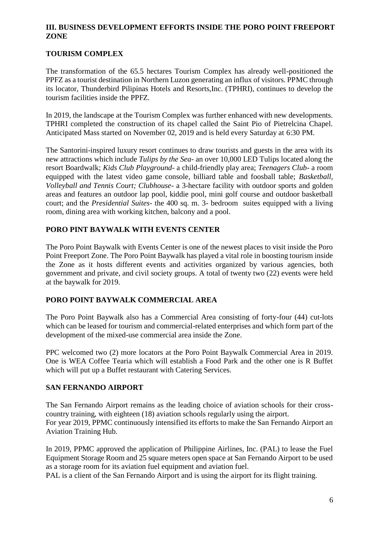## **III. BUSINESS DEVELOPMENT EFFORTS INSIDE THE PORO POINT FREEPORT ZONE**

# **TOURISM COMPLEX**

The transformation of the 65.5 hectares Tourism Complex has already well-positioned the PPFZ as a tourist destination in Northern Luzon generating an influx of visitors. PPMC through its locator, Thunderbird Pilipinas Hotels and Resorts,Inc. (TPHRI), continues to develop the tourism facilities inside the PPFZ.

In 2019, the landscape at the Tourism Complex was further enhanced with new developments. TPHRI completed the construction of its chapel called the Saint Pio of Pietrelcina Chapel. Anticipated Mass started on November 02, 2019 and is held every Saturday at 6:30 PM.

The Santorini-inspired luxury resort continues to draw tourists and guests in the area with its new attractions which include *Tulips by the Sea*- an over 10,000 LED Tulips located along the resort Boardwalk; *Kids Club Playground*- a child-friendly play area; *Teenagers Club*- a room equipped with the latest video game console, billiard table and foosball table; *Basketball, Volleyball and Tennis Court; Clubhouse*- a 3-hectare facility with outdoor sports and golden areas and features an outdoor lap pool, kiddie pool, mini golf course and outdoor basketball court; and the *Presidential Suites*- the 400 sq. m. 3- bedroom suites equipped with a living room, dining area with working kitchen, balcony and a pool.

# **PORO PINT BAYWALK WITH EVENTS CENTER**

The Poro Point Baywalk with Events Center is one of the newest places to visit inside the Poro Point Freeport Zone. The Poro Point Baywalk has played a vital role in boosting tourism inside the Zone as it hosts different events and activities organized by various agencies, both government and private, and civil society groups. A total of twenty two (22) events were held at the baywalk for 2019.

# **PORO POINT BAYWALK COMMERCIAL AREA**

The Poro Point Baywalk also has a Commercial Area consisting of forty-four (44) cut-lots which can be leased for tourism and commercial-related enterprises and which form part of the development of the mixed-use commercial area inside the Zone.

PPC welcomed two (2) more locators at the Poro Point Baywalk Commercial Area in 2019. One is WEA Coffee Tearia which will establish a Food Park and the other one is R Buffet which will put up a Buffet restaurant with Catering Services.

## **SAN FERNANDO AIRPORT**

The San Fernando Airport remains as the leading choice of aviation schools for their crosscountry training, with eighteen (18) aviation schools regularly using the airport. For year 2019, PPMC continuously intensified its efforts to make the San Fernando Airport an Aviation Training Hub.

In 2019, PPMC approved the application of Philippine Airlines, Inc. (PAL) to lease the Fuel Equipment Storage Room and 25 square meters open space at San Fernando Airport to be used as a storage room for its aviation fuel equipment and aviation fuel.

PAL is a client of the San Fernando Airport and is using the airport for its flight training.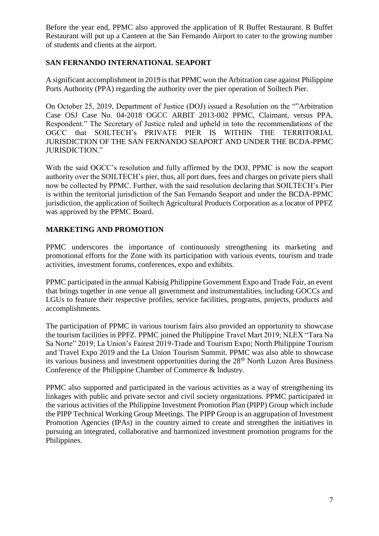Before the year end, PPMC also approved the application of R Buffet Restaurant. R Buffet Restaurant will put up a Canteen at the San Fernando Airport to cater to the growing number of students and clients at the airport.

# **SAN FERNANDO INTERNATIONAL SEAPORT**

A significant accomplishment in 2019 is that PPMC won the Arbitration case against Philippine Ports Authority (PPA) regarding the authority over the pier operation of Soiltech Pier.

On October 25, 2019, Department of Justice (DOJ) issued a Resolution on the ""Arbitration Case OSJ Case No. 04-2018 OGCC ARBIT 2013-002 PPMC, Claimant, versus PPA, Respondent." The Secretary of Justice ruled and upheld in toto the recommendations of the OGCC that SOILTECH's PRIVATE PIER IS WITHIN THE TERRITORIAL JURISDICTION OF THE SAN FERNANDO SEAPORT AND UNDER THE BCDA-PPMC JURISDICTION."

With the said OGCC's resolution and fully affirmed by the DOJ, PPMC is now the seaport authority over the SOILTECH's pier, thus, all port dues, fees and charges on private piers shall now be collected by PPMC. Further, with the said resolution declaring that SOILTECH's Pier is within the territorial jurisdiction of the San Fernando Seaport and under the BCDA-PPMC jurisdiction, the application of Soiltech Agricultural Products Corporation as a locator of PPFZ was approved by the PPMC Board.

# **MARKETING AND PROMOTION**

PPMC underscores the importance of continuously strengthening its marketing and promotional efforts for the Zone with its participation with various events, tourism and trade activities, investment forums, conferences, expo and exhibits.

PPMC participated in the annual Kabisig Philippine Government Expo and Trade Fair, an event that brings together in one venue all government and instrumentalities, including GOCCs and LGUs to feature their respective profiles, service facilities, programs, projects, products and accomplishments.

The participation of PPMC in various tourism fairs also provided an opportunity to showcase the tourism facilities in PPFZ. PPMC joined the Philippine Travel Mart 2019; NLEX "Tara Na Sa Norte" 2019; La Union's Fairest 2019-Trade and Tourism Expo; North Philippine Tourism and Travel Expo 2019 and the La Union Tourism Summit. PPMC was also able to showcase its various business and investment opportunities during the 28<sup>th</sup> North Luzon Area Business Conference of the Philippine Chamber of Commerce & Industry.

PPMC also supported and participated in the various activities as a way of strengthening its linkages with public and private sector and civil society organizations. PPMC participated in the various activities of the Philippine Investment Promotion Plan (PIPP) Group which include the PIPP Technical Working Group Meetings. The PIPP Group is an aggrupation of Investment Promotion Agencies (IPAs) in the country aimed to create and strengthen the initiatives in pursuing an integrated, collaborative and harmonized investment promotion programs for the Philippines.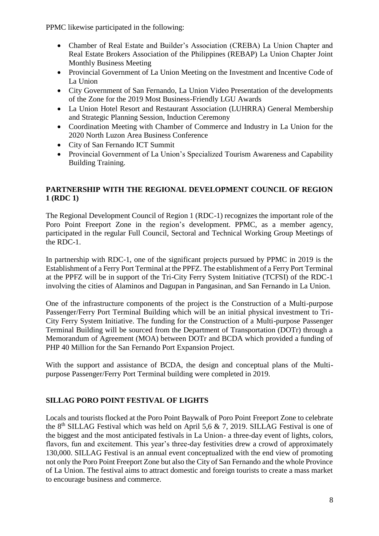PPMC likewise participated in the following:

- Chamber of Real Estate and Builder's Association (CREBA) La Union Chapter and Real Estate Brokers Association of the Philippines (REBAP) La Union Chapter Joint Monthly Business Meeting
- Provincial Government of La Union Meeting on the Investment and Incentive Code of La Union
- City Government of San Fernando, La Union Video Presentation of the developments of the Zone for the 2019 Most Business-Friendly LGU Awards
- La Union Hotel Resort and Restaurant Association (LUHRRA) General Membership and Strategic Planning Session, Induction Ceremony
- Coordination Meeting with Chamber of Commerce and Industry in La Union for the 2020 North Luzon Area Business Conference
- City of San Fernando ICT Summit
- Provincial Government of La Union's Specialized Tourism Awareness and Capability Building Training.

# **PARTNERSHIP WITH THE REGIONAL DEVELOPMENT COUNCIL OF REGION 1 (RDC 1)**

The Regional Development Council of Region 1 (RDC-1) recognizes the important role of the Poro Point Freeport Zone in the region's development. PPMC, as a member agency, participated in the regular Full Council, Sectoral and Technical Working Group Meetings of the RDC-1.

In partnership with RDC-1, one of the significant projects pursued by PPMC in 2019 is the Establishment of a Ferry Port Terminal at the PPFZ. The establishment of a Ferry Port Terminal at the PPFZ will be in support of the Tri-City Ferry System Initiative (TCFSI) of the RDC-1 involving the cities of Alaminos and Dagupan in Pangasinan, and San Fernando in La Union.

One of the infrastructure components of the project is the Construction of a Multi-purpose Passenger/Ferry Port Terminal Building which will be an initial physical investment to Tri-City Ferry System Initiative. The funding for the Construction of a Multi-purpose Passenger Terminal Building will be sourced from the Department of Transportation (DOTr) through a Memorandum of Agreement (MOA) between DOTr and BCDA which provided a funding of PHP 40 Million for the San Fernando Port Expansion Project.

With the support and assistance of BCDA, the design and conceptual plans of the Multipurpose Passenger/Ferry Port Terminal building were completed in 2019.

# **SILLAG PORO POINT FESTIVAL OF LIGHTS**

Locals and tourists flocked at the Poro Point Baywalk of Poro Point Freeport Zone to celebrate the 8<sup>th</sup> SILLAG Festival which was held on April 5,6 & 7, 2019. SILLAG Festival is one of the biggest and the most anticipated festivals in La Union- a three-day event of lights, colors, flavors, fun and excitement. This year's three-day festivities drew a crowd of approximately 130,000. SILLAG Festival is an annual event conceptualized with the end view of promoting not only the Poro Point Freeport Zone but also the City of San Fernando and the whole Province of La Union. The festival aims to attract domestic and foreign tourists to create a mass market to encourage business and commerce.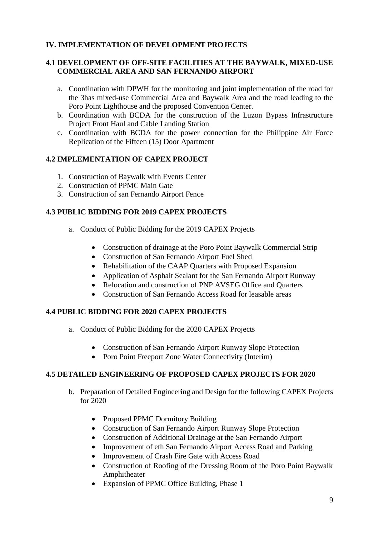# **IV. IMPLEMENTATION OF DEVELOPMENT PROJECTS**

# **4.1 DEVELOPMENT OF OFF-SITE FACILITIES AT THE BAYWALK, MIXED-USE COMMERCIAL AREA AND SAN FERNANDO AIRPORT**

- a. Coordination with DPWH for the monitoring and joint implementation of the road for the 3has mixed-use Commercial Area and Baywalk Area and the road leading to the Poro Point Lighthouse and the proposed Convention Center.
- b. Coordination with BCDA for the construction of the Luzon Bypass Infrastructure Project Front Haul and Cable Landing Station
- c. Coordination with BCDA for the power connection for the Philippine Air Force Replication of the Fifteen (15) Door Apartment

# **4.2 IMPLEMENTATION OF CAPEX PROJECT**

- 1. Construction of Baywalk with Events Center
- 2. Construction of PPMC Main Gate
- 3. Construction of san Fernando Airport Fence

# **4.3 PUBLIC BIDDING FOR 2019 CAPEX PROJECTS**

- a. Conduct of Public Bidding for the 2019 CAPEX Projects
	- Construction of drainage at the Poro Point Baywalk Commercial Strip
	- Construction of San Fernando Airport Fuel Shed
	- Rehabilitation of the CAAP Quarters with Proposed Expansion
	- Application of Asphalt Sealant for the San Fernando Airport Runway
	- Relocation and construction of PNP AVSEG Office and Quarters
	- Construction of San Fernando Access Road for leasable areas

## **4.4 PUBLIC BIDDING FOR 2020 CAPEX PROJECTS**

- a. Conduct of Public Bidding for the 2020 CAPEX Projects
	- Construction of San Fernando Airport Runway Slope Protection
	- Poro Point Freeport Zone Water Connectivity (Interim)

## **4.5 DETAILED ENGINEERING OF PROPOSED CAPEX PROJECTS FOR 2020**

- b. Preparation of Detailed Engineering and Design for the following CAPEX Projects for 2020
	- Proposed PPMC Dormitory Building
	- Construction of San Fernando Airport Runway Slope Protection
	- Construction of Additional Drainage at the San Fernando Airport
	- Improvement of eth San Fernando Airport Access Road and Parking
	- Improvement of Crash Fire Gate with Access Road
	- Construction of Roofing of the Dressing Room of the Poro Point Baywalk Amphitheater
	- Expansion of PPMC Office Building, Phase 1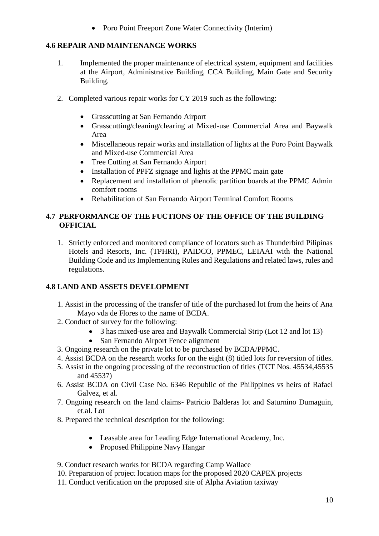• Poro Point Freeport Zone Water Connectivity (Interim)

# **4.6 REPAIR AND MAINTENANCE WORKS**

- 1. Implemented the proper maintenance of electrical system, equipment and facilities at the Airport, Administrative Building, CCA Building, Main Gate and Security Building.
- 2. Completed various repair works for CY 2019 such as the following:
	- Grasscutting at San Fernando Airport
	- Grasscutting/cleaning/clearing at Mixed-use Commercial Area and Baywalk Area
	- Miscellaneous repair works and installation of lights at the Poro Point Baywalk and Mixed-use Commercial Area
	- Tree Cutting at San Fernando Airport
	- Installation of PPFZ signage and lights at the PPMC main gate
	- Replacement and installation of phenolic partition boards at the PPMC Admin comfort rooms
	- Rehabilitation of San Fernando Airport Terminal Comfort Rooms

# **4.7 PERFORMANCE OF THE FUCTIONS OF THE OFFICE OF THE BUILDING OFFICIAL**

1. Strictly enforced and monitored compliance of locators such as Thunderbird Pilipinas Hotels and Resorts, Inc. (TPHRI), PAIDCO, PPMEC, LEIAAI with the National Building Code and its Implementing Rules and Regulations and related laws, rules and regulations.

# **4.8 LAND AND ASSETS DEVELOPMENT**

- 1. Assist in the processing of the transfer of title of the purchased lot from the heirs of Ana Mayo vda de Flores to the name of BCDA.
- 2. Conduct of survey for the following:
	- 3 has mixed-use area and Baywalk Commercial Strip (Lot 12 and lot 13)
	- San Fernando Airport Fence alignment
- 3. Ongoing research on the private lot to be purchased by BCDA/PPMC.
- 4. Assist BCDA on the research works for on the eight (8) titled lots for reversion of titles.
- 5. Assist in the ongoing processing of the reconstruction of titles (TCT Nos. 45534,45535 and 45537)
- 6. Assist BCDA on Civil Case No. 6346 Republic of the Philippines vs heirs of Rafael Galvez, et al.
- 7. Ongoing research on the land claims- Patricio Balderas lot and Saturnino Dumaguin, et.al. Lot
- 8. Prepared the technical description for the following:
	- Leasable area for Leading Edge International Academy, Inc.
	- Proposed Philippine Navy Hangar

9. Conduct research works for BCDA regarding Camp Wallace

- 10. Preparation of project location maps for the proposed 2020 CAPEX projects
- 11. Conduct verification on the proposed site of Alpha Aviation taxiway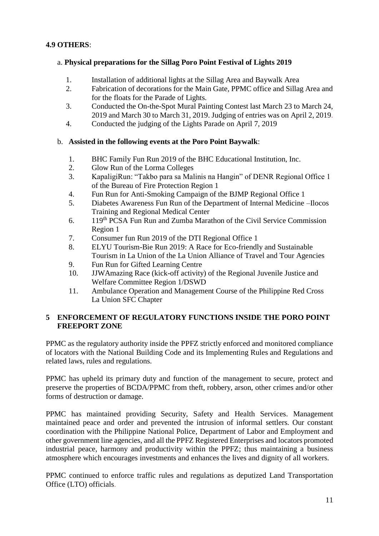# **4.9 OTHERS**:

## a. **Physical preparations for the Sillag Poro Point Festival of Lights 2019**

- 1. Installation of additional lights at the Sillag Area and Baywalk Area
- 2. Fabrication of decorations for the Main Gate, PPMC office and Sillag Area and for the floats for the Parade of Lights.
- 3. Conducted the On-the-Spot Mural Painting Contest last March 23 to March 24, 2019 and March 30 to March 31, 2019. Judging of entries was on April 2, 2019.
- 4. Conducted the judging of the Lights Parade on April 7, 2019

## b. **Assisted in the following events at the Poro Point Baywalk**:

- 1. BHC Family Fun Run 2019 of the BHC Educational Institution, Inc.
- 2. Glow Run of the Lorma Colleges
- 3. KapaligiRun: "Takbo para sa Malinis na Hangin" of DENR Regional Office 1 of the Bureau of Fire Protection Region 1
- 4. Fun Run for Anti-Smoking Campaign of the BJMP Regional Office 1
- 5. Diabetes Awareness Fun Run of the Department of Internal Medicine –Ilocos Training and Regional Medical Center
- 6. 119th PCSA Fun Run and Zumba Marathon of the Civil Service Commission Region 1
- 7. Consumer fun Run 2019 of the DTI Regional Office 1
- 8. ELYU Tourism-Bie Run 2019: A Race for Eco-friendly and Sustainable Tourism in La Union of the La Union Alliance of Travel and Tour Agencies
- 9. Fun Run for Gifted Learning Centre
- 10. JJWAmazing Race (kick-off activity) of the Regional Juvenile Justice and Welfare Committee Region 1/DSWD
- 11. Ambulance Operation and Management Course of the Philippine Red Cross La Union SFC Chapter

## **5 ENFORCEMENT OF REGULATORY FUNCTIONS INSIDE THE PORO POINT FREEPORT ZONE**

PPMC as the regulatory authority inside the PPFZ strictly enforced and monitored compliance of locators with the National Building Code and its Implementing Rules and Regulations and related laws, rules and regulations.

PPMC has upheld its primary duty and function of the management to secure, protect and preserve the properties of BCDA/PPMC from theft, robbery, arson, other crimes and/or other forms of destruction or damage.

PPMC has maintained providing Security, Safety and Health Services. Management maintained peace and order and prevented the intrusion of informal settlers. Our constant coordination with the Philippine National Police, Department of Labor and Employment and other government line agencies, and all the PPFZ Registered Enterprises and locators promoted industrial peace, harmony and productivity within the PPFZ; thus maintaining a business atmosphere which encourages investments and enhances the lives and dignity of all workers.

PPMC continued to enforce traffic rules and regulations as deputized Land Transportation Office (LTO) officials.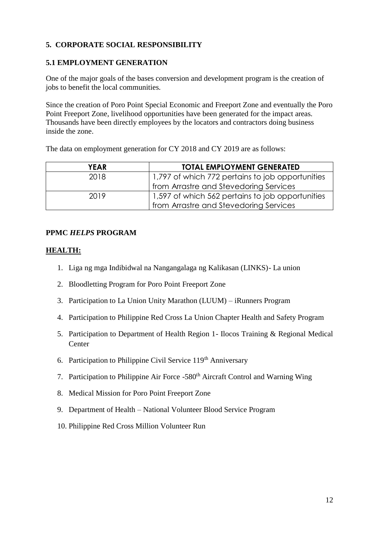# **5. CORPORATE SOCIAL RESPONSIBILITY**

#### **5.1 EMPLOYMENT GENERATION**

One of the major goals of the bases conversion and development program is the creation of jobs to benefit the local communities.

Since the creation of Poro Point Special Economic and Freeport Zone and eventually the Poro Point Freeport Zone, livelihood opportunities have been generated for the impact areas. Thousands have been directly employees by the locators and contractors doing business inside the zone.

The data on employment generation for CY 2018 and CY 2019 are as follows:

| <b>YEAR</b> | <b>TOTAL EMPLOYMENT GENERATED</b>                |
|-------------|--------------------------------------------------|
| 2018        | 1,797 of which 772 pertains to job opportunities |
|             | from Arrastre and Stevedoring Services           |
| 2019        | 1,597 of which 562 pertains to job opportunities |
|             | from Arrastre and Stevedoring Services           |

#### **PPMC** *HELPS* **PROGRAM**

#### **HEALTH:**

- 1. Liga ng mga Indibidwal na Nangangalaga ng Kalikasan (LINKS)- La union
- 2. Bloodletting Program for Poro Point Freeport Zone
- 3. Participation to La Union Unity Marathon (LUUM) iRunners Program
- 4. Participation to Philippine Red Cross La Union Chapter Health and Safety Program
- 5. Participation to Department of Health Region 1- Ilocos Training & Regional Medical Center
- 6. Participation to Philippine Civil Service  $119<sup>th</sup>$  Anniversary
- 7. Participation to Philippine Air Force -580<sup>th</sup> Aircraft Control and Warning Wing
- 8. Medical Mission for Poro Point Freeport Zone
- 9. Department of Health National Volunteer Blood Service Program
- 10. Philippine Red Cross Million Volunteer Run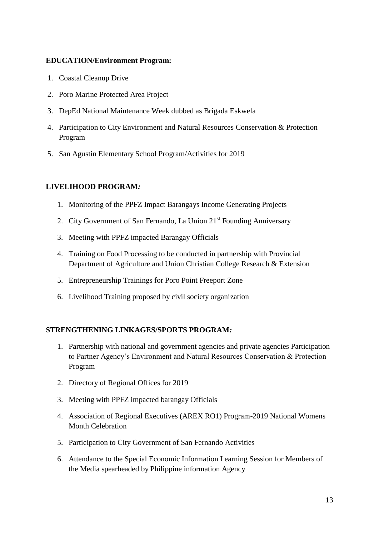#### **EDUCATION/Environment Program:**

- 1. Coastal Cleanup Drive
- 2. Poro Marine Protected Area Project
- 3. DepEd National Maintenance Week dubbed as Brigada Eskwela
- 4. Participation to City Environment and Natural Resources Conservation & Protection Program
- 5. San Agustin Elementary School Program/Activities for 2019

# **LIVELIHOOD PROGRAM***:*

- 1. Monitoring of the PPFZ Impact Barangays Income Generating Projects
- 2. City Government of San Fernando, La Union 21<sup>st</sup> Founding Anniversary
- 3. Meeting with PPFZ impacted Barangay Officials
- 4. Training on Food Processing to be conducted in partnership with Provincial Department of Agriculture and Union Christian College Research & Extension
- 5. Entrepreneurship Trainings for Poro Point Freeport Zone
- 6. Livelihood Training proposed by civil society organization

## **STRENGTHENING LINKAGES/SPORTS PROGRAM***:*

- 1. Partnership with national and government agencies and private agencies Participation to Partner Agency's Environment and Natural Resources Conservation & Protection Program
- 2. Directory of Regional Offices for 2019
- 3. Meeting with PPFZ impacted barangay Officials
- 4. Association of Regional Executives (AREX RO1) Program-2019 National Womens Month Celebration
- 5. Participation to City Government of San Fernando Activities
- 6. Attendance to the Special Economic Information Learning Session for Members of the Media spearheaded by Philippine information Agency